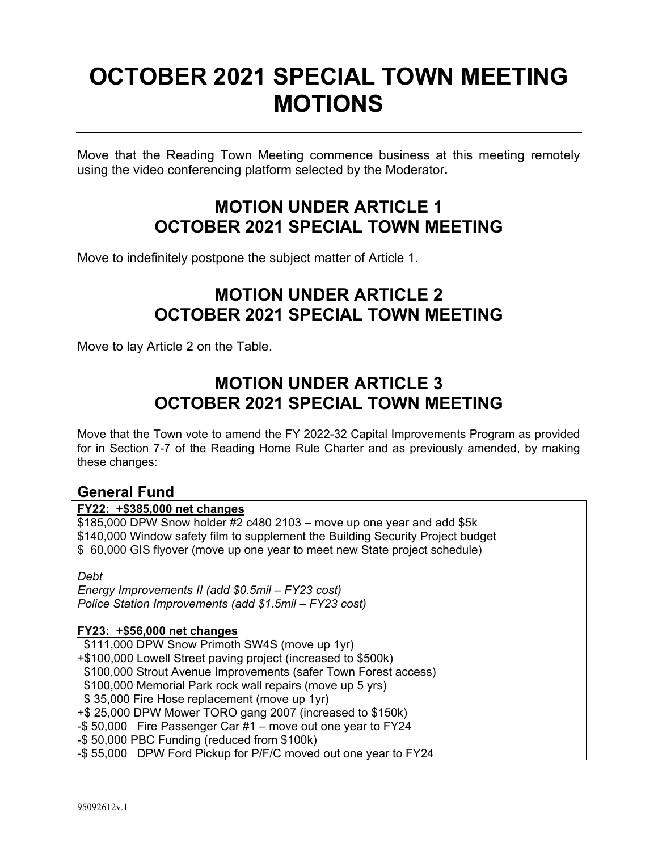# **OCTOBER 2021 SPECIAL TOWN MEETING MOTIONS**

Move that the Reading Town Meeting commence business at this meeting remotely using the video conferencing platform selected by the Moderator**.**

## **MOTION UNDER ARTICLE 1 OCTOBER 2021 SPECIAL TOWN MEETING**

Move to indefinitely postpone the subject matter of Article 1.

# **MOTION UNDER ARTICLE 2 OCTOBER 2021 SPECIAL TOWN MEETING**

Move to lay Article 2 on the Table.

# **MOTION UNDER ARTICLE 3 OCTOBER 2021 SPECIAL TOWN MEETING**

Move that the Town vote to amend the FY 2022-32 Capital Improvements Program as provided for in Section 7-7 of the Reading Home Rule Charter and as previously amended, by making these changes:

### **General Fund**

#### **FY22: +\$385,000 net changes**

 $$185,000$  DPW Snow holder #2 c480 2103 – move up one year and add \$5k \$140,000 Window safety film to supplement the Building Security Project budget \$ 60,000 GIS flyover (move up one year to meet new State project schedule)

*Debt* 

*Energy Improvements II (add \$0.5mil – FY23 cost) Police Station Improvements (add \$1.5mil – FY23 cost)* 

#### **FY23: +\$56,000 net changes**

\$111,000 DPW Snow Primoth SW4S (move up 1yr)

+\$100,000 Lowell Street paving project (increased to \$500k)

\$100,000 Strout Avenue Improvements (safer Town Forest access)

\$100,000 Memorial Park rock wall repairs (move up 5 yrs)

\$ 35,000 Fire Hose replacement (move up 1yr)

+\$ 25,000 DPW Mower TORO gang 2007 (increased to \$150k)

-\$ 50,000 Fire Passenger Car #1 – move out one year to FY24

-\$ 50,000 PBC Funding (reduced from \$100k)

-\$ 55,000 DPW Ford Pickup for P/F/C moved out one year to FY24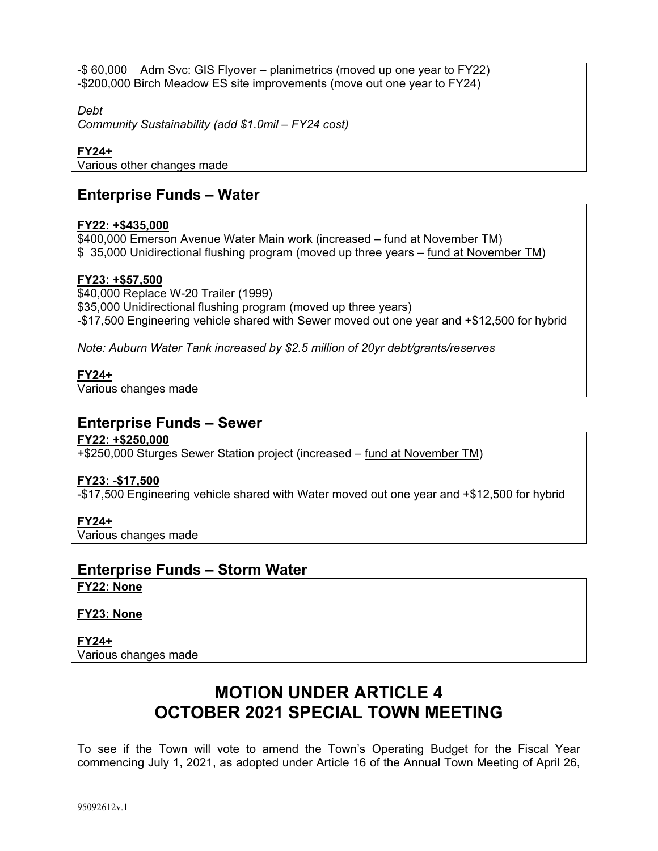-\$ 60,000 Adm Svc: GIS Flyover – planimetrics (moved up one year to FY22) -\$200,000 Birch Meadow ES site improvements (move out one year to FY24)

*Debt* 

*Community Sustainability (add \$1.0mil – FY24 cost)* 

#### **FY24+**

Various other changes made

### **Enterprise Funds – Water**

#### **FY22: +\$435,000**

\$400,000 Emerson Avenue Water Main work (increased – fund at November TM) \$ 35,000 Unidirectional flushing program (moved up three years – fund at November TM)

#### **FY23: +\$57,500**

\$40,000 Replace W-20 Trailer (1999) \$35,000 Unidirectional flushing program (moved up three years) -\$17,500 Engineering vehicle shared with Sewer moved out one year and +\$12,500 for hybrid

*Note: Auburn Water Tank increased by \$2.5 million of 20yr debt/grants/reserves* 

#### **FY24+**

Various changes made

#### **Enterprise Funds – Sewer**

#### **FY22: +\$250,000**

+\$250,000 Sturges Sewer Station project (increased – fund at November TM)

#### **FY23: -\$17,500**

-\$17,500 Engineering vehicle shared with Water moved out one year and +\$12,500 for hybrid

#### **FY24+**

Various changes made

### **Enterprise Funds – Storm Water**

**FY22: None** 

#### **FY23: None**

**FY24+**  Various changes made

# **MOTION UNDER ARTICLE 4 OCTOBER 2021 SPECIAL TOWN MEETING**

To see if the Town will vote to amend the Town's Operating Budget for the Fiscal Year commencing July 1, 2021, as adopted under Article 16 of the Annual Town Meeting of April 26,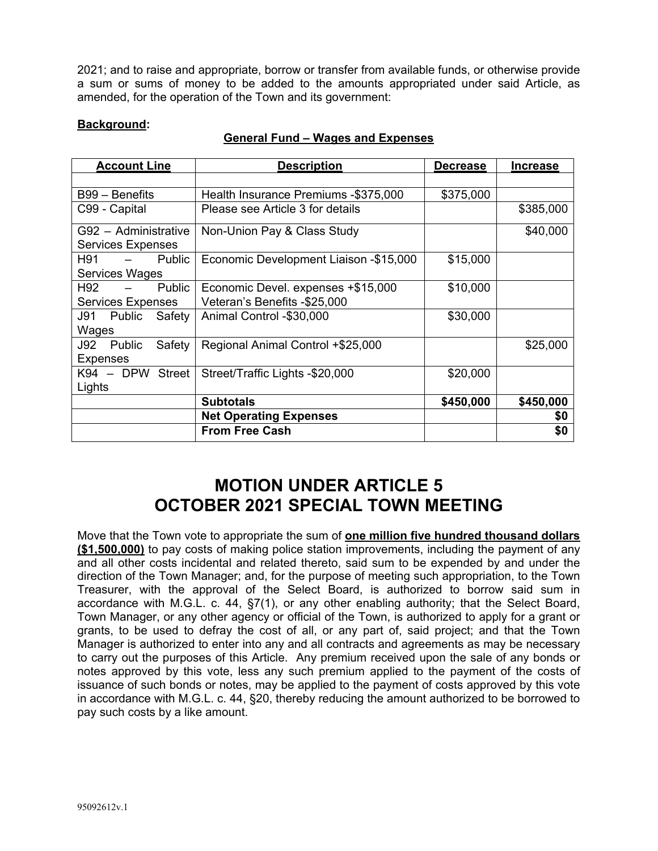2021; and to raise and appropriate, borrow or transfer from available funds, or otherwise provide a sum or sums of money to be added to the amounts appropriated under said Article, as amended, for the operation of the Town and its government:

#### **Background:**

| <b>Account Line</b>            | <b>Description</b>                     | <b>Decrease</b> | <b>Increase</b> |
|--------------------------------|----------------------------------------|-----------------|-----------------|
|                                |                                        |                 |                 |
| $B99 - Benefits$               | Health Insurance Premiums -\$375,000   | \$375,000       |                 |
| C99 - Capital                  | Please see Article 3 for details       |                 | \$385,000       |
| G92 - Administrative           | Non-Union Pay & Class Study            |                 | \$40,000        |
| <b>Services Expenses</b>       |                                        |                 |                 |
| H91<br>Public                  | Economic Development Liaison -\$15,000 | \$15,000        |                 |
| Services Wages                 |                                        |                 |                 |
| H92<br>Public                  | Economic Devel. expenses +\$15,000     | \$10,000        |                 |
| <b>Services Expenses</b>       | Veteran's Benefits -\$25,000           |                 |                 |
| J91<br>Public<br>Safety        | Animal Control -\$30,000               | \$30,000        |                 |
| Wages                          |                                        |                 |                 |
| Safety<br><b>Public</b><br>J92 | Regional Animal Control +\$25,000      |                 | \$25,000        |
| <b>Expenses</b>                |                                        |                 |                 |
| K94 - DPW Street               | Street/Traffic Lights -\$20,000        | \$20,000        |                 |
| Lights                         |                                        |                 |                 |
|                                | <b>Subtotals</b>                       | \$450,000       | \$450,000       |
|                                | <b>Net Operating Expenses</b>          |                 | \$0             |
|                                | <b>From Free Cash</b>                  |                 | \$0             |

#### **General Fund – Wages and Expenses**

### **MOTION UNDER ARTICLE 5 OCTOBER 2021 SPECIAL TOWN MEETING**

Move that the Town vote to appropriate the sum of **one million five hundred thousand dollars (\$1,500,000)** to pay costs of making police station improvements, including the payment of any and all other costs incidental and related thereto, said sum to be expended by and under the direction of the Town Manager; and, for the purpose of meeting such appropriation, to the Town Treasurer, with the approval of the Select Board, is authorized to borrow said sum in accordance with M.G.L. c. 44, §7(1), or any other enabling authority; that the Select Board, Town Manager, or any other agency or official of the Town, is authorized to apply for a grant or grants, to be used to defray the cost of all, or any part of, said project; and that the Town Manager is authorized to enter into any and all contracts and agreements as may be necessary to carry out the purposes of this Article. Any premium received upon the sale of any bonds or notes approved by this vote, less any such premium applied to the payment of the costs of issuance of such bonds or notes, may be applied to the payment of costs approved by this vote in accordance with M.G.L. c. 44, §20, thereby reducing the amount authorized to be borrowed to pay such costs by a like amount.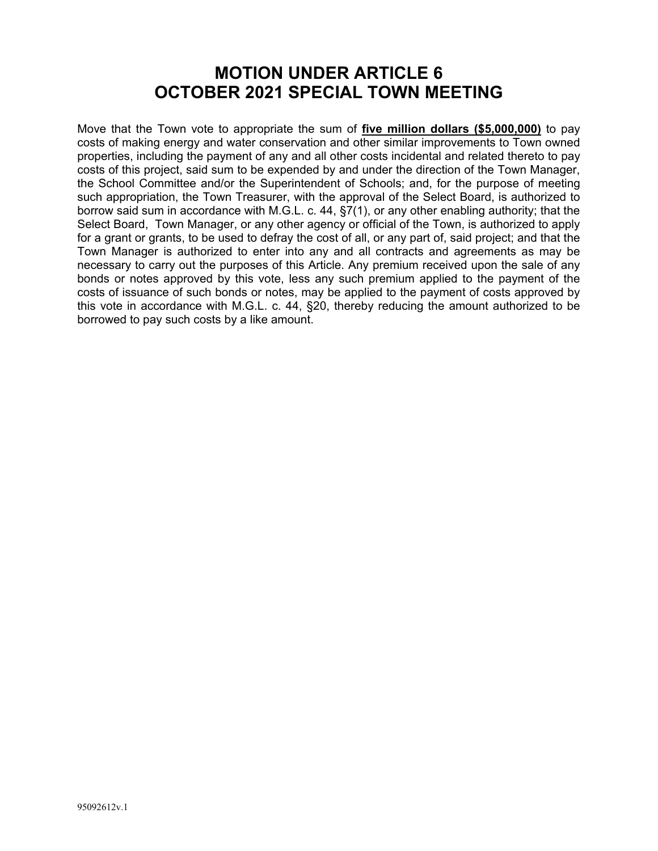### **MOTION UNDER ARTICLE 6 OCTOBER 2021 SPECIAL TOWN MEETING**

Move that the Town vote to appropriate the sum of **five million dollars (\$5,000,000)** to pay costs of making energy and water conservation and other similar improvements to Town owned properties, including the payment of any and all other costs incidental and related thereto to pay costs of this project, said sum to be expended by and under the direction of the Town Manager, the School Committee and/or the Superintendent of Schools; and, for the purpose of meeting such appropriation, the Town Treasurer, with the approval of the Select Board, is authorized to borrow said sum in accordance with M.G.L. c. 44, §7(1), or any other enabling authority; that the Select Board, Town Manager, or any other agency or official of the Town, is authorized to apply for a grant or grants, to be used to defray the cost of all, or any part of, said project; and that the Town Manager is authorized to enter into any and all contracts and agreements as may be necessary to carry out the purposes of this Article. Any premium received upon the sale of any bonds or notes approved by this vote, less any such premium applied to the payment of the costs of issuance of such bonds or notes, may be applied to the payment of costs approved by this vote in accordance with M.G.L. c. 44, §20, thereby reducing the amount authorized to be borrowed to pay such costs by a like amount.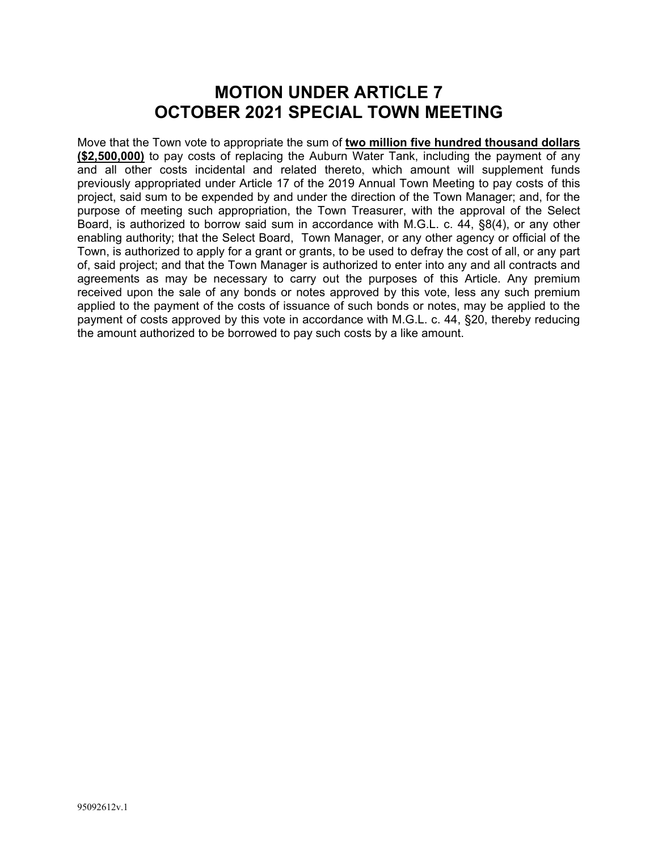### **MOTION UNDER ARTICLE 7 OCTOBER 2021 SPECIAL TOWN MEETING**

Move that the Town vote to appropriate the sum of **two million five hundred thousand dollars (\$2,500,000)** to pay costs of replacing the Auburn Water Tank, including the payment of any and all other costs incidental and related thereto, which amount will supplement funds previously appropriated under Article 17 of the 2019 Annual Town Meeting to pay costs of this project, said sum to be expended by and under the direction of the Town Manager; and, for the purpose of meeting such appropriation, the Town Treasurer, with the approval of the Select Board, is authorized to borrow said sum in accordance with M.G.L. c. 44, §8(4), or any other enabling authority; that the Select Board, Town Manager, or any other agency or official of the Town, is authorized to apply for a grant or grants, to be used to defray the cost of all, or any part of, said project; and that the Town Manager is authorized to enter into any and all contracts and agreements as may be necessary to carry out the purposes of this Article. Any premium received upon the sale of any bonds or notes approved by this vote, less any such premium applied to the payment of the costs of issuance of such bonds or notes, may be applied to the payment of costs approved by this vote in accordance with M.G.L. c. 44, §20, thereby reducing the amount authorized to be borrowed to pay such costs by a like amount.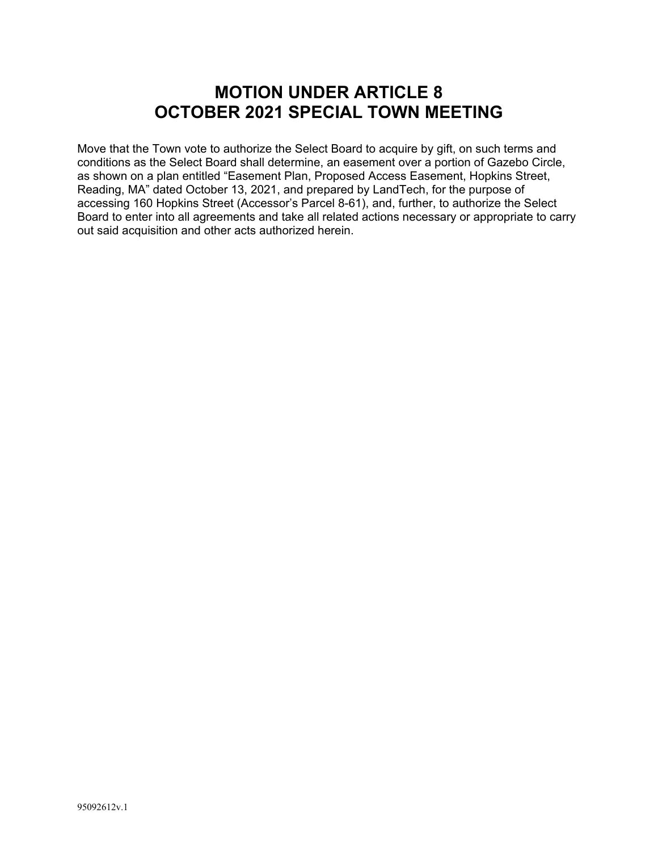### **MOTION UNDER ARTICLE 8 OCTOBER 2021 SPECIAL TOWN MEETING**

Move that the Town vote to authorize the Select Board to acquire by gift, on such terms and conditions as the Select Board shall determine, an easement over a portion of Gazebo Circle, as shown on a plan entitled "Easement Plan, Proposed Access Easement, Hopkins Street, Reading, MA" dated October 13, 2021, and prepared by LandTech, for the purpose of accessing 160 Hopkins Street (Accessor's Parcel 8-61), and, further, to authorize the Select Board to enter into all agreements and take all related actions necessary or appropriate to carry out said acquisition and other acts authorized herein.